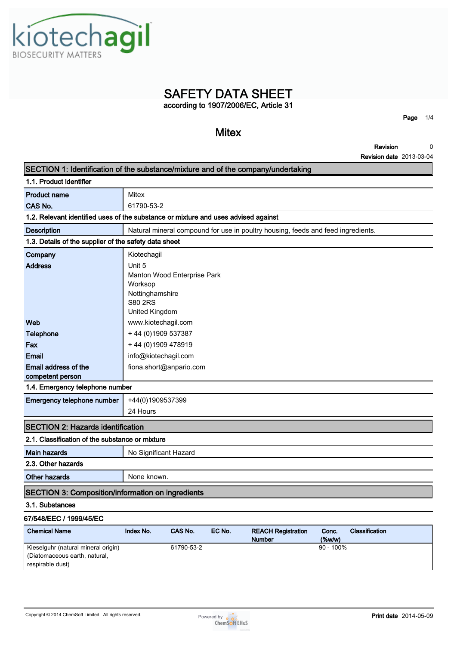Kiotechagil

Address **and The Unit 5** 

| ٢a                                                                                 |
|------------------------------------------------------------------------------------|
| <b>Mitex</b>                                                                       |
| Revision                                                                           |
| <b>Revision date 201</b>                                                           |
| SECTION 1: Identification of the substance/mixture and of the company/undertaking  |
|                                                                                    |
| Mitex                                                                              |
| 61790-53-2                                                                         |
| 1.2. Relevant identified uses of the substance or mixture and uses advised against |
| Natural mineral compound for use in poultry housing, feeds and feed ingredients.   |
| 1.3. Details of the supplier of the safety data sheet                              |
| Kiotechagil                                                                        |
|                                                                                    |

| <b>SAFETY DATA SHEET</b>              |      |     |
|---------------------------------------|------|-----|
| according to 1907/2006/EC, Article 31 |      |     |
|                                       | Page | 1/4 |

**Page 1/4**

**Revision Revision date 2013-03-04 0**

|                                                                             | S80 2RS               |                         |  |  |  |
|-----------------------------------------------------------------------------|-----------------------|-------------------------|--|--|--|
|                                                                             | United Kingdom        |                         |  |  |  |
| Web                                                                         | www.kiotechagil.com   |                         |  |  |  |
| <b>Telephone</b>                                                            | +44 (0) 1909 537387   |                         |  |  |  |
| Fax                                                                         | +44 (0) 1909 478919   |                         |  |  |  |
| <b>Email</b>                                                                | info@kiotechagil.com  |                         |  |  |  |
| Email address of the                                                        |                       | fiona.short@anpario.com |  |  |  |
| competent person                                                            |                       |                         |  |  |  |
| 1.4. Emergency telephone number                                             |                       |                         |  |  |  |
| Emergency telephone number                                                  | +44(0)1909537399      |                         |  |  |  |
|                                                                             | 24 Hours              |                         |  |  |  |
| <b>SECTION 2: Hazards identification</b>                                    |                       |                         |  |  |  |
| 2.1. Classification of the substance or mixture                             |                       |                         |  |  |  |
| <b>Main hazards</b>                                                         | No Significant Hazard |                         |  |  |  |
| 2.3. Other hazards                                                          |                       |                         |  |  |  |
| <b>Other hazards</b>                                                        | None known.           |                         |  |  |  |
|                                                                             |                       |                         |  |  |  |
|                                                                             |                       |                         |  |  |  |
| <b>SECTION 3: Composition/information on ingredients</b><br>3.1. Substances |                       |                         |  |  |  |
| 67/548/EEC / 1999/45/EC                                                     |                       |                         |  |  |  |

| <b>Chemical Name</b>                | Index No. | CAS No.    | EC No. | <b>REACH Registration</b> | Conc.        | <b>Classification</b> |
|-------------------------------------|-----------|------------|--------|---------------------------|--------------|-----------------------|
|                                     |           |            |        | <b>Number</b>             | $(\%w/w)$    |                       |
| Kieselguhr (natural mineral origin) |           | 61790-53-2 |        |                           | $90 - 100\%$ |                       |
| (Diatomaceous earth, natural,       |           |            |        |                           |              |                       |
| respirable dust)                    |           |            |        |                           |              |                       |





**Manton Wood Enterprise Park**

**Worksop Nottinghamshire**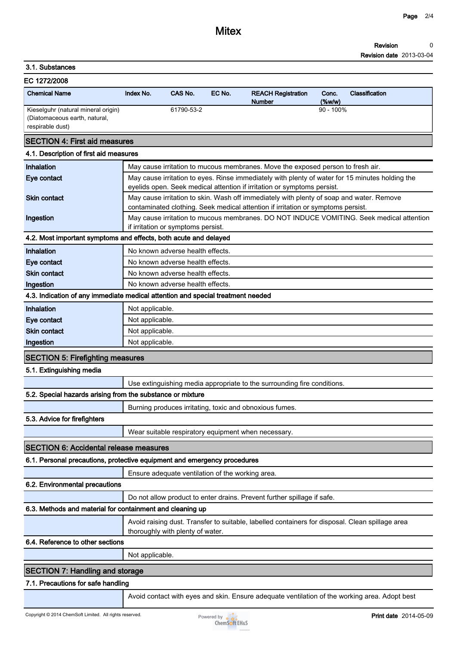#### **Revision Revision date 2013-03-04 0**

## **3.1. Substances**

| EC 1272/2008                                                                             |           |            |        |                                            |                    |                       |
|------------------------------------------------------------------------------------------|-----------|------------|--------|--------------------------------------------|--------------------|-----------------------|
| <b>Chemical Name</b>                                                                     | Index No. | CAS No.    | EC No. | <b>REACH Registration</b><br><b>Number</b> | Conc.<br>$(\%w/w)$ | <b>Classification</b> |
| Kieselguhr (natural mineral origin)<br>(Diatomaceous earth, natural,<br>respirable dust) |           | 61790-53-2 |        | $90 - 100\%$                               |                    |                       |
| <b>SECTION 4: First aid measures</b>                                                     |           |            |        |                                            |                    |                       |
| 4.1. Description of first aid measures                                                   |           |            |        |                                            |                    |                       |

| Inhalation                                                 | May cause irritation to mucous membranes. Move the exposed person to fresh air.                                                     |
|------------------------------------------------------------|-------------------------------------------------------------------------------------------------------------------------------------|
| Eye contact                                                | May cause irritation to eyes. Rinse immediately with plenty of water for 15 minutes holding the                                     |
|                                                            | eyelids open. Seek medical attention if irritation or symptoms persist.                                                             |
| <b>Skin contact</b>                                        | May cause irritation to skin. Wash off immediately with plenty of soap and water. Remove                                            |
|                                                            | contaminated clothing. Seek medical attention if irritation or symptoms persist.                                                    |
| Ingestion                                                  | May cause irritation to mucous membranes. DO NOT INDUCE VOMITING. Seek medical attention                                            |
|                                                            | if irritation or symptoms persist.<br>4.2. Most important symptoms and effects, both acute and delayed                              |
| Inhalation                                                 | No known adverse health effects.                                                                                                    |
| Eye contact                                                | No known adverse health effects.                                                                                                    |
| <b>Skin contact</b>                                        | No known adverse health effects.                                                                                                    |
| Ingestion                                                  | No known adverse health effects.                                                                                                    |
|                                                            | 4.3. Indication of any immediate medical attention and special treatment needed                                                     |
| Inhalation                                                 | Not applicable.                                                                                                                     |
| Eye contact                                                | Not applicable.                                                                                                                     |
| <b>Skin contact</b>                                        | Not applicable.                                                                                                                     |
| Ingestion                                                  | Not applicable.                                                                                                                     |
| <b>SECTION 5: Firefighting measures</b>                    |                                                                                                                                     |
| 5.1. Extinguishing media                                   |                                                                                                                                     |
|                                                            | Use extinguishing media appropriate to the surrounding fire conditions.                                                             |
| 5.2. Special hazards arising from the substance or mixture |                                                                                                                                     |
|                                                            | Burning produces irritating, toxic and obnoxious fumes.                                                                             |
| 5.3. Advice for firefighters                               |                                                                                                                                     |
|                                                            | Wear suitable respiratory equipment when necessary.                                                                                 |
| <b>SECTION 6: Accidental release measures</b>              |                                                                                                                                     |
|                                                            | 6.1. Personal precautions, protective equipment and emergency procedures                                                            |
|                                                            | Ensure adequate ventilation of the working area.                                                                                    |
| 6.2. Environmental precautions                             |                                                                                                                                     |
|                                                            | Do not allow product to enter drains. Prevent further spillage if safe.                                                             |
| 6.3. Methods and material for containment and cleaning up  |                                                                                                                                     |
|                                                            | Avoid raising dust. Transfer to suitable, labelled containers for disposal. Clean spillage area<br>thoroughly with plenty of water. |
| 6.4. Reference to other sections                           |                                                                                                                                     |
|                                                            | Not applicable.                                                                                                                     |
|                                                            |                                                                                                                                     |

# **SECTION 7: Handling and storage**

# **7.1. Precautions for safe handling**

**Avoid contact with eyes and skin. Ensure adequate ventilation of the working area. Adopt best**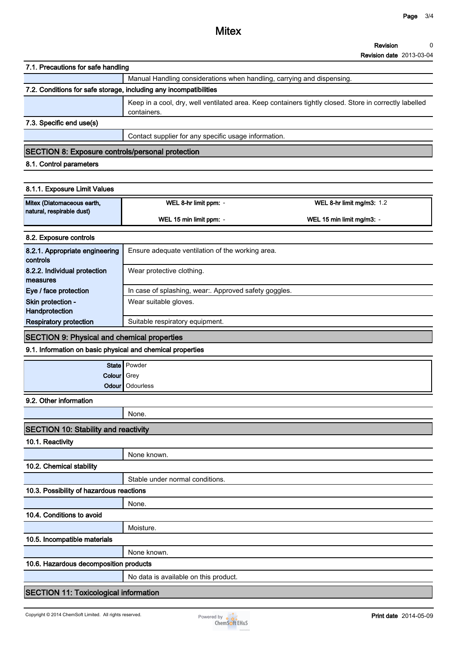### **Revision 0**

**Revision date 2013-03-04**

| 7.1. Precautions for safe handling                                                                               |                                                                        |                                                                                                        |  |  |  |  |  |
|------------------------------------------------------------------------------------------------------------------|------------------------------------------------------------------------|--------------------------------------------------------------------------------------------------------|--|--|--|--|--|
|                                                                                                                  | Manual Handling considerations when handling, carrying and dispensing. |                                                                                                        |  |  |  |  |  |
| 7.2. Conditions for safe storage, including any incompatibilities                                                |                                                                        |                                                                                                        |  |  |  |  |  |
|                                                                                                                  | containers.                                                            | Keep in a cool, dry, well ventilated area. Keep containers tightly closed. Store in correctly labelled |  |  |  |  |  |
| 7.3. Specific end use(s)                                                                                         |                                                                        |                                                                                                        |  |  |  |  |  |
|                                                                                                                  | Contact supplier for any specific usage information.                   |                                                                                                        |  |  |  |  |  |
| <b>SECTION 8: Exposure controls/personal protection</b>                                                          |                                                                        |                                                                                                        |  |  |  |  |  |
| 8.1. Control parameters                                                                                          |                                                                        |                                                                                                        |  |  |  |  |  |
|                                                                                                                  |                                                                        |                                                                                                        |  |  |  |  |  |
| 8.1.1. Exposure Limit Values                                                                                     |                                                                        |                                                                                                        |  |  |  |  |  |
| Mitex (Diatomaceous earth,                                                                                       | WEL 8-hr limit ppm: -                                                  | WEL 8-hr limit mg/m3: 1.2                                                                              |  |  |  |  |  |
| natural, respirable dust)                                                                                        | WEL 15 min limit ppm: -                                                | WEL 15 min limit mg/m3: -                                                                              |  |  |  |  |  |
| 8.2. Exposure controls                                                                                           |                                                                        |                                                                                                        |  |  |  |  |  |
| 8.2.1. Appropriate engineering<br>controls                                                                       | Ensure adequate ventilation of the working area.                       |                                                                                                        |  |  |  |  |  |
| 8.2.2. Individual protection<br>measures                                                                         | Wear protective clothing.                                              |                                                                                                        |  |  |  |  |  |
| Eye / face protection                                                                                            | In case of splashing, wear:. Approved safety goggles.                  |                                                                                                        |  |  |  |  |  |
| Skin protection -                                                                                                | Wear suitable gloves.                                                  |                                                                                                        |  |  |  |  |  |
| Handprotection<br><b>Respiratory protection</b>                                                                  | Suitable respiratory equipment.                                        |                                                                                                        |  |  |  |  |  |
|                                                                                                                  |                                                                        |                                                                                                        |  |  |  |  |  |
| <b>SECTION 9: Physical and chemical properties</b><br>9.1. Information on basic physical and chemical properties |                                                                        |                                                                                                        |  |  |  |  |  |
|                                                                                                                  |                                                                        |                                                                                                        |  |  |  |  |  |
| Colour   Grey                                                                                                    | State   Powder                                                         |                                                                                                        |  |  |  |  |  |
| Odour                                                                                                            | Odourless                                                              |                                                                                                        |  |  |  |  |  |
| 9.2. Other information                                                                                           |                                                                        |                                                                                                        |  |  |  |  |  |
|                                                                                                                  | None.                                                                  |                                                                                                        |  |  |  |  |  |
| <b>SECTION 10: Stability and reactivity</b>                                                                      |                                                                        |                                                                                                        |  |  |  |  |  |
| 10.1. Reactivity                                                                                                 |                                                                        |                                                                                                        |  |  |  |  |  |
|                                                                                                                  | None known.                                                            |                                                                                                        |  |  |  |  |  |
| 10.2. Chemical stability                                                                                         |                                                                        |                                                                                                        |  |  |  |  |  |
|                                                                                                                  | Stable under normal conditions.                                        |                                                                                                        |  |  |  |  |  |
| 10.3. Possibility of hazardous reactions                                                                         |                                                                        |                                                                                                        |  |  |  |  |  |
|                                                                                                                  | None.                                                                  |                                                                                                        |  |  |  |  |  |
| 10.4. Conditions to avoid                                                                                        |                                                                        |                                                                                                        |  |  |  |  |  |
|                                                                                                                  | Moisture.                                                              |                                                                                                        |  |  |  |  |  |
| 10.5. Incompatible materials                                                                                     |                                                                        |                                                                                                        |  |  |  |  |  |
|                                                                                                                  | None known.                                                            |                                                                                                        |  |  |  |  |  |
| 10.6. Hazardous decomposition products                                                                           |                                                                        |                                                                                                        |  |  |  |  |  |
|                                                                                                                  | No data is available on this product.                                  |                                                                                                        |  |  |  |  |  |
| <b>SECTION 11: Toxicological information</b>                                                                     |                                                                        |                                                                                                        |  |  |  |  |  |
| Copyright © 2014 ChemSoft Limited. All rights reserved.                                                          | Powered by $\sim$                                                      | Print date 2014-05-09                                                                                  |  |  |  |  |  |
|                                                                                                                  |                                                                        |                                                                                                        |  |  |  |  |  |